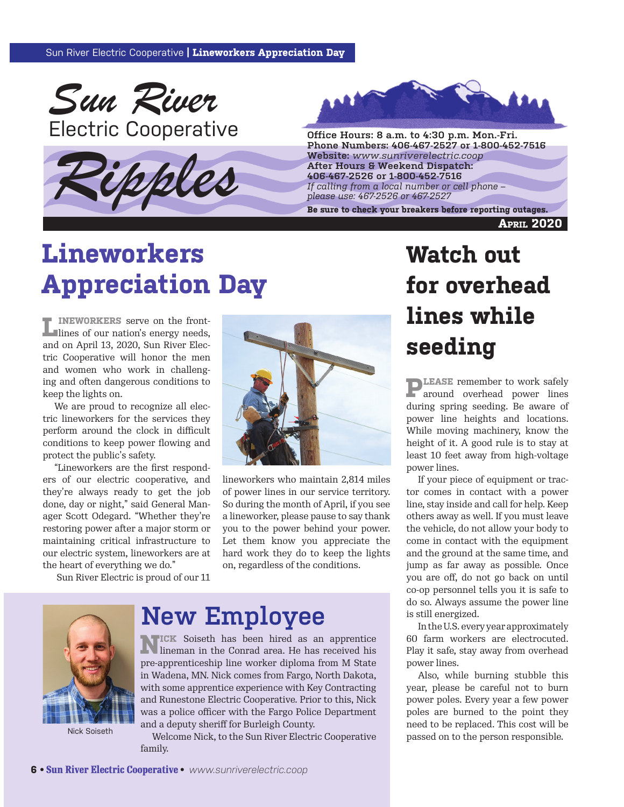

Electric Cooperative **Connective Connective Constant Constant Connective Connective** *Connective Connective Connective Connective Connective Connective Connective Connective Connective Connective Co* 





**Phone Numbers: 406-467-2527 or 1-800-452-7516 Website:** *www.sunriverelectric.coop* **After Hours & Weekend Dispatch: 406-467-2526 or 1-800-452-7516** *If calling from a local number or cell phone –*  Phone Numbers: 406-467-2527 or 1-800-452-7516<br>Website: www.sunriverelectric.coop<br>After Hours & Weekend Dispatch:<br>406-467-2526 or 1-800-452-7516<br>If calling from a local number or cell phone –<br>please use: 467-2526 or 467-252

**April 2020**

# **Lineworkers Appreciation Day**

**F** INEWORKERS serve on the frontlines of our nation's energy needs, and on April 13, 2020, Sun River Electric Cooperative will honor the men and women who work in challenging and often dangerous conditions to keep the lights on.

We are proud to recognize all electric lineworkers for the services they perform around the clock in difficult conditions to keep power flowing and protect the public's safety.

"Lineworkers are the first responders of our electric cooperative, and they're always ready to get the job done, day or night," said General Manager Scott Odegard. "Whether they're restoring power after a major storm or maintaining critical infrastructure to our electric system, lineworkers are at the heart of everything we do."

Sun River Electric is proud of our 11



lineworkers who maintain 2,814 miles of power lines in our service territory. So during the month of April, if you see a lineworker, please pause to say thank you to the power behind your power. Let them know you appreciate the hard work they do to keep the lights on, regardless of the conditions.



Nick Soiseth

# **New Employee**

**NICK** Soiseth has been hired as an apprentice lineman in the Conrad area. He has received his pre-apprenticeship line worker diploma from M State in Wadena, MN. Nick comes from Fargo, North Dakota, with some apprentice experience with Key Contracting and Runestone Electric Cooperative. Prior to this, Nick was a police officer with the Fargo Police Department and a deputy sheriff for Burleigh County.

Welcome Nick, to the Sun River Electric Cooperative family.

# **Watch out for overhead lines while seeding**

**PLEASE** remember to work safely around overhead power lines during spring seeding. Be aware of power line heights and locations. While moving machinery, know the height of it. A good rule is to stay at least 10 feet away from high-voltage power lines.

If your piece of equipment or tractor comes in contact with a power line, stay inside and call for help. Keep others away as well. If you must leave the vehicle, do not allow your body to come in contact with the equipment and the ground at the same time, and jump as far away as possible. Once you are off, do not go back on until co-op personnel tells you it is safe to do so. Always assume the power line is still energized.

In the U.S. every year approximately 60 farm workers are electrocuted. Play it safe, stay away from overhead power lines.

Also, while burning stubble this year, please be careful not to burn power poles. Every year a few power poles are burned to the point they need to be replaced. This cost will be passed on to the person responsible.